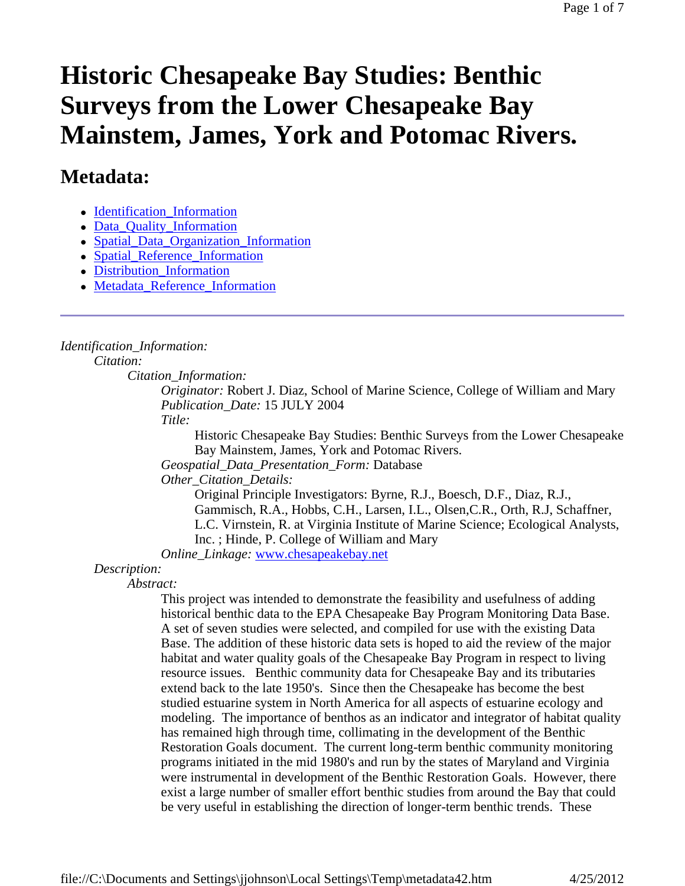#### Page 1 of 7

# **Historic Chesapeake Bay Studies: Benthic Surveys from the Lower Chesapeake Bay Mainstem, James, York and Potomac Rivers.**

# **Metadata:**

- Identification Information
- Data Quality Information
- Spatial\_Data\_Organization\_Information
- Spatial Reference Information
- Distribution\_Information
- Metadata Reference Information

# *Identification\_Information:*

*Citation:*

*Citation\_Information:*

*Originator:* Robert J. Diaz, School of Marine Science, College of William and Mary *Publication\_Date:* 15 JULY 2004

*Title:*

Historic Chesapeake Bay Studies: Benthic Surveys from the Lower Chesapeake Bay Mainstem, James, York and Potomac Rivers.

*Geospatial\_Data\_Presentation\_Form:* Database

*Other\_Citation\_Details:*

Original Principle Investigators: Byrne, R.J., Boesch, D.F., Diaz, R.J., Gammisch, R.A., Hobbs, C.H., Larsen, I.L., Olsen,C.R., Orth, R.J, Schaffner, L.C. Virnstein, R. at Virginia Institute of Marine Science; Ecological Analysts, Inc. ; Hinde, P. College of William and Mary

*Online\_Linkage:* www.chesapeakebay.net

# *Description:*

*Abstract:*

This project was intended to demonstrate the feasibility and usefulness of adding historical benthic data to the EPA Chesapeake Bay Program Monitoring Data Base. A set of seven studies were selected, and compiled for use with the existing Data Base. The addition of these historic data sets is hoped to aid the review of the major habitat and water quality goals of the Chesapeake Bay Program in respect to living resource issues. Benthic community data for Chesapeake Bay and its tributaries extend back to the late 1950's. Since then the Chesapeake has become the best studied estuarine system in North America for all aspects of estuarine ecology and modeling. The importance of benthos as an indicator and integrator of habitat quality has remained high through time, collimating in the development of the Benthic Restoration Goals document. The current long-term benthic community monitoring programs initiated in the mid 1980's and run by the states of Maryland and Virginia were instrumental in development of the Benthic Restoration Goals. However, there exist a large number of smaller effort benthic studies from around the Bay that could be very useful in establishing the direction of longer-term benthic trends. These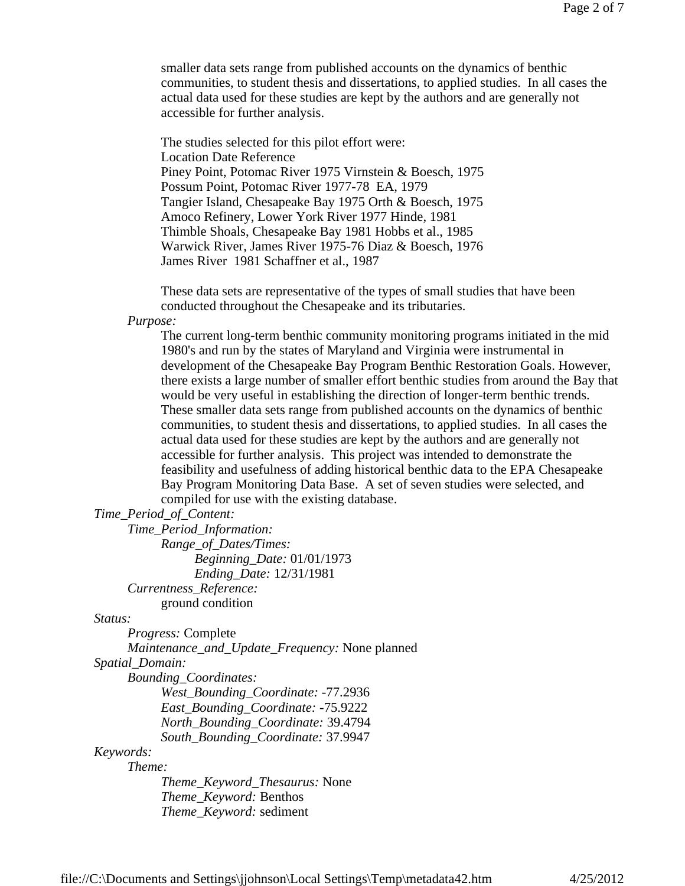smaller data sets range from published accounts on the dynamics of benthic communities, to student thesis and dissertations, to applied studies. In all cases the actual data used for these studies are kept by the authors and are generally not accessible for further analysis.

The studies selected for this pilot effort were: Location Date Reference Piney Point, Potomac River 1975 Virnstein & Boesch, 1975 Possum Point, Potomac River 1977-78 EA, 1979 Tangier Island, Chesapeake Bay 1975 Orth & Boesch, 1975 Amoco Refinery, Lower York River 1977 Hinde, 1981 Thimble Shoals, Chesapeake Bay 1981 Hobbs et al., 1985 Warwick River, James River 1975-76 Diaz & Boesch, 1976 James River 1981 Schaffner et al., 1987

These data sets are representative of the types of small studies that have been conducted throughout the Chesapeake and its tributaries.

*Purpose:*

The current long-term benthic community monitoring programs initiated in the mid 1980's and run by the states of Maryland and Virginia were instrumental in development of the Chesapeake Bay Program Benthic Restoration Goals. However, there exists a large number of smaller effort benthic studies from around the Bay that would be very useful in establishing the direction of longer-term benthic trends. These smaller data sets range from published accounts on the dynamics of benthic communities, to student thesis and dissertations, to applied studies. In all cases the actual data used for these studies are kept by the authors and are generally not accessible for further analysis. This project was intended to demonstrate the feasibility and usefulness of adding historical benthic data to the EPA Chesapeake Bay Program Monitoring Data Base. A set of seven studies were selected, and compiled for use with the existing database.

#### *Time\_Period\_of\_Content:*

*Time\_Period\_Information: Range\_of\_Dates/Times: Beginning\_Date:* 01/01/1973 *Ending\_Date:* 12/31/1981 *Currentness\_Reference:* ground condition

#### *Status:*

*Progress:* Complete

*Maintenance\_and\_Update\_Frequency:* None planned

*Spatial\_Domain:*

*Bounding\_Coordinates:*

*West\_Bounding\_Coordinate:* -77.2936 *East\_Bounding\_Coordinate:* -75.9222 *North\_Bounding\_Coordinate:* 39.4794 *South\_Bounding\_Coordinate:* 37.9947

#### *Keywords:*

*Theme:*

*Theme\_Keyword\_Thesaurus:* None *Theme\_Keyword:* Benthos *Theme\_Keyword:* sediment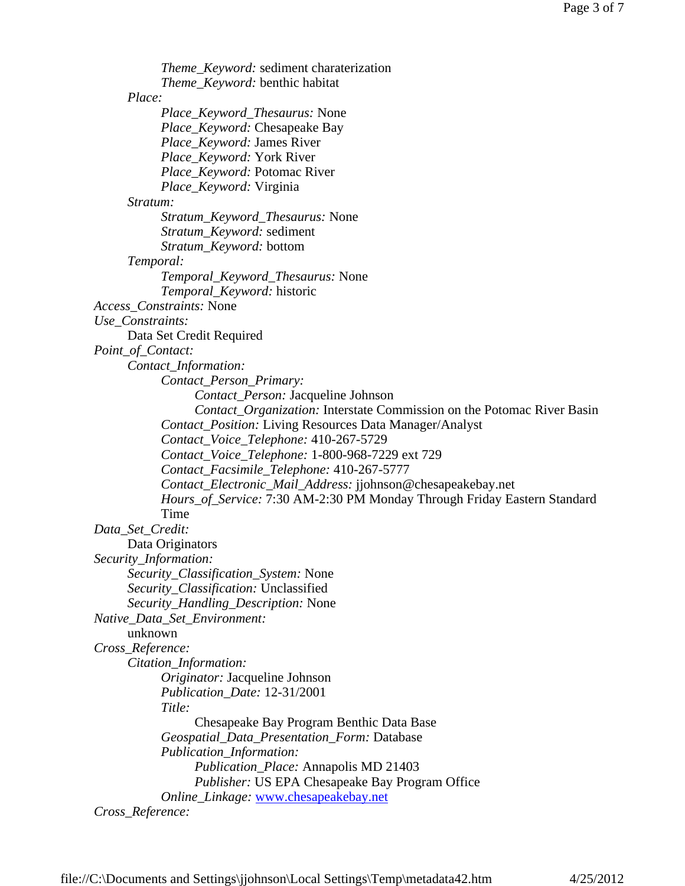*Theme\_Keyword:* sediment charaterization *Theme\_Keyword:* benthic habitat *Place: Place\_Keyword\_Thesaurus:* None *Place\_Keyword:* Chesapeake Bay *Place\_Keyword:* James River *Place\_Keyword:* York River *Place\_Keyword:* Potomac River *Place\_Keyword:* Virginia *Stratum: Stratum\_Keyword\_Thesaurus:* None *Stratum\_Keyword:* sediment *Stratum\_Keyword:* bottom *Temporal: Temporal\_Keyword\_Thesaurus:* None *Temporal\_Keyword:* historic *Access\_Constraints:* None *Use\_Constraints:* Data Set Credit Required *Point\_of\_Contact: Contact\_Information: Contact\_Person\_Primary: Contact\_Person:* Jacqueline Johnson *Contact\_Organization:* Interstate Commission on the Potomac River Basin *Contact\_Position:* Living Resources Data Manager/Analyst *Contact\_Voice\_Telephone:* 410-267-5729 *Contact\_Voice\_Telephone:* 1-800-968-7229 ext 729 *Contact\_Facsimile\_Telephone:* 410-267-5777 *Contact\_Electronic\_Mail\_Address:* jjohnson@chesapeakebay.net *Hours\_of\_Service:* 7:30 AM-2:30 PM Monday Through Friday Eastern Standard Time *Data\_Set\_Credit:* Data Originators *Security\_Information: Security\_Classification\_System:* None *Security\_Classification:* Unclassified *Security\_Handling\_Description:* None *Native\_Data\_Set\_Environment:* unknown *Cross\_Reference: Citation\_Information: Originator:* Jacqueline Johnson *Publication\_Date:* 12-31/2001 *Title:* Chesapeake Bay Program Benthic Data Base *Geospatial\_Data\_Presentation\_Form:* Database *Publication\_Information: Publication\_Place:* Annapolis MD 21403 *Publisher:* US EPA Chesapeake Bay Program Office *Online\_Linkage:* www.chesapeakebay.net *Cross\_Reference:*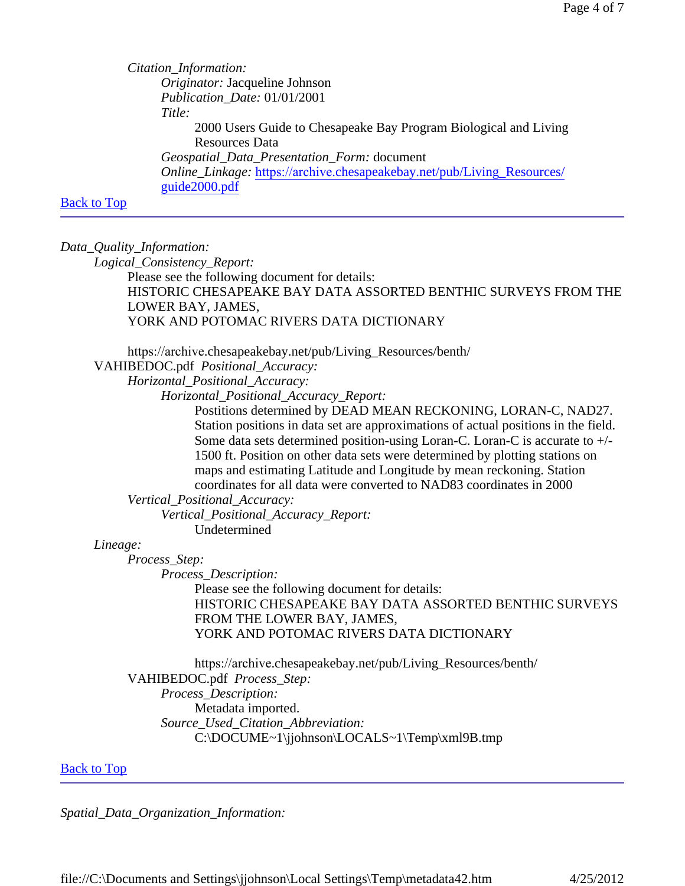*Citation\_Information: Originator:* Jacqueline Johnson *Publication\_Date:* 01/01/2001 *Title:* 2000 Users Guide to Chesapeake Bay Program Biological and Living Resources Data *Geospatial\_Data\_Presentation\_Form:* document *Online\_Linkage:* https://archive.chesapeakebay.net/pub/Living\_Resources/ guide2000.pdf

# Back to Top

*Data\_Quality\_Information:*

*Logical\_Consistency\_Report:*

Please see the following document for details: HISTORIC CHESAPEAKE BAY DATA ASSORTED BENTHIC SURVEYS FROM THE LOWER BAY, JAMES, YORK AND POTOMAC RIVERS DATA DICTIONARY

https://archive.chesapeakebay.net/pub/Living\_Resources/benth/

VAHIBEDOC.pdf *Positional\_Accuracy:*

*Horizontal\_Positional\_Accuracy:*

*Horizontal\_Positional\_Accuracy\_Report:*

Postitions determined by DEAD MEAN RECKONING, LORAN-C, NAD27. Station positions in data set are approximations of actual positions in the field. Some data sets determined position-using Loran-C. Loran-C is accurate to +/- 1500 ft. Position on other data sets were determined by plotting stations on maps and estimating Latitude and Longitude by mean reckoning. Station coordinates for all data were converted to NAD83 coordinates in 2000

*Vertical\_Positional\_Accuracy:*

*Vertical\_Positional\_Accuracy\_Report:* Undetermined

#### *Lineage:*

*Process\_Step:*

*Process\_Description:*

Please see the following document for details: HISTORIC CHESAPEAKE BAY DATA ASSORTED BENTHIC SURVEYS FROM THE LOWER BAY, JAMES, YORK AND POTOMAC RIVERS DATA DICTIONARY

https://archive.chesapeakebay.net/pub/Living\_Resources/benth/ VAHIBEDOC.pdf *Process\_Step: Process\_Description:* Metadata imported. *Source\_Used\_Citation\_Abbreviation:* C:\DOCUME~1\jjohnson\LOCALS~1\Temp\xml9B.tmp

# Back to Top

*Spatial\_Data\_Organization\_Information:*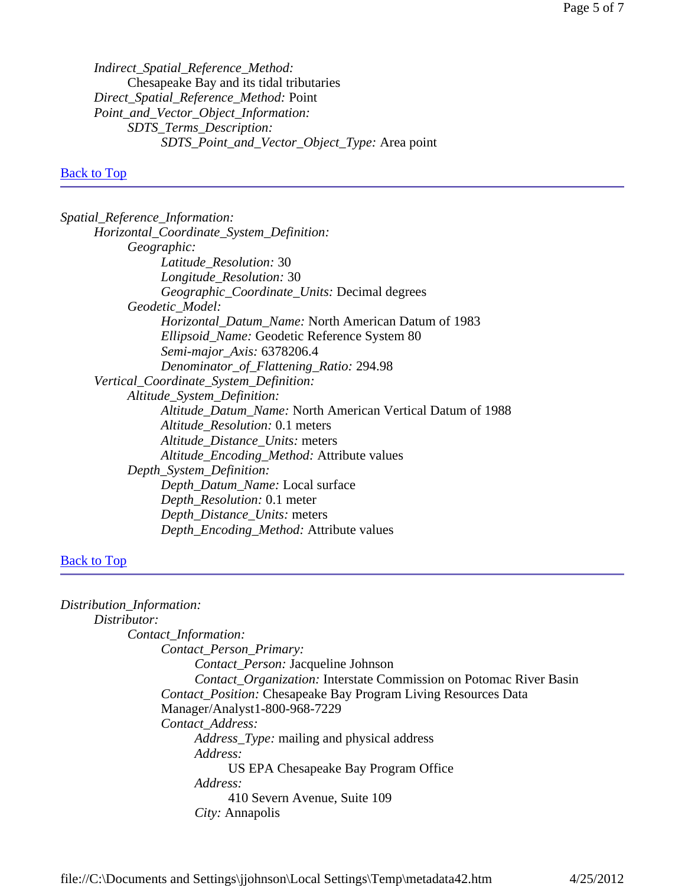*Indirect\_Spatial\_Reference\_Method:* Chesapeake Bay and its tidal tributaries *Direct\_Spatial\_Reference\_Method:* Point *Point\_and\_Vector\_Object\_Information: SDTS\_Terms\_Description: SDTS\_Point\_and\_Vector\_Object\_Type:* Area point

# Back to Top

# Back to Top

| Distribution_Information:                                             |
|-----------------------------------------------------------------------|
| Distributor:                                                          |
| Contact_Information:                                                  |
| Contact_Person_Primary:                                               |
| <i>Contact_Person:</i> Jacqueline Johnson                             |
| Contact_Organization: Interstate Commission on Potomac River Basin    |
| <b>Contact_Position: Chesapeake Bay Program Living Resources Data</b> |
| Manager/Analyst1-800-968-7229                                         |
| Contact Address:                                                      |
| <i>Address_Type:</i> mailing and physical address                     |
| Address:                                                              |
| US EPA Chesapeake Bay Program Office                                  |
| Address:                                                              |
| 410 Severn Avenue, Suite 109                                          |
| <i>City:</i> Annapolis                                                |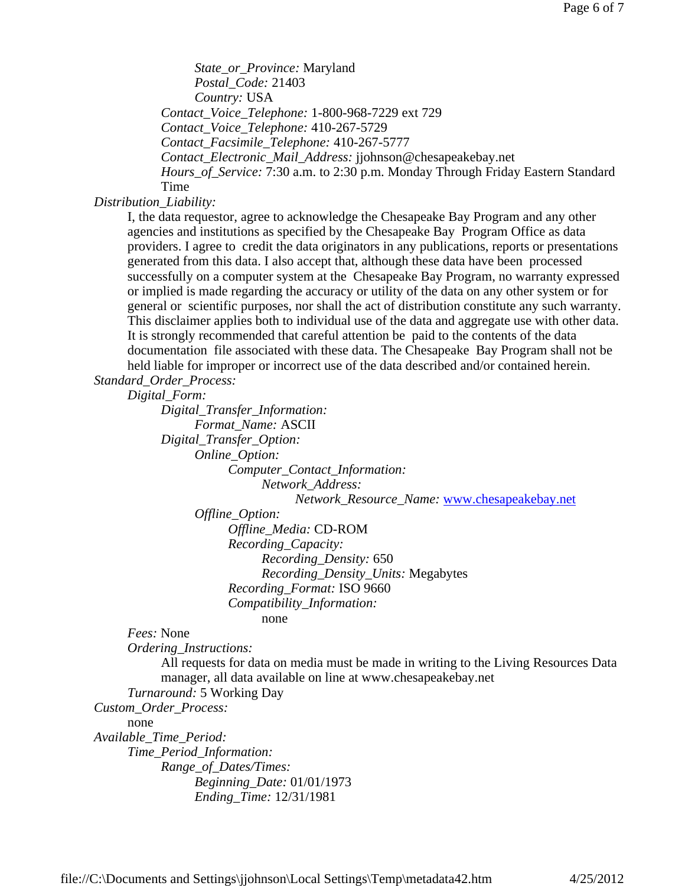*State\_or\_Province:* Maryland *Postal\_Code:* 21403 *Country:* USA *Contact\_Voice\_Telephone:* 1-800-968-7229 ext 729 *Contact\_Voice\_Telephone:* 410-267-5729 *Contact\_Facsimile\_Telephone:* 410-267-5777 *Contact\_Electronic\_Mail\_Address:* jjohnson@chesapeakebay.net *Hours\_of\_Service:* 7:30 a.m. to 2:30 p.m. Monday Through Friday Eastern Standard Time

*Distribution\_Liability:*

I, the data requestor, agree to acknowledge the Chesapeake Bay Program and any other agencies and institutions as specified by the Chesapeake Bay Program Office as data providers. I agree to credit the data originators in any publications, reports or presentations generated from this data. I also accept that, although these data have been processed successfully on a computer system at the Chesapeake Bay Program, no warranty expressed or implied is made regarding the accuracy or utility of the data on any other system or for general or scientific purposes, nor shall the act of distribution constitute any such warranty. This disclaimer applies both to individual use of the data and aggregate use with other data. It is strongly recommended that careful attention be paid to the contents of the data documentation file associated with these data. The Chesapeake Bay Program shall not be held liable for improper or incorrect use of the data described and/or contained herein. *Standard\_Order\_Process:*

*Digital\_Form:*

*Digital\_Transfer\_Information: Format\_Name:* ASCII *Digital\_Transfer\_Option: Online\_Option: Computer\_Contact\_Information: Network\_Address: Network\_Resource\_Name:* www.chesapeakebay.net *Offline\_Option: Offline\_Media:* CD-ROM *Recording\_Capacity: Recording\_Density:* 650 *Recording\_Density\_Units:* Megabytes *Recording\_Format:* ISO 9660 *Compatibility\_Information:* none

*Fees:* None

*Ordering\_Instructions:*

All requests for data on media must be made in writing to the Living Resources Data manager, all data available on line at www.chesapeakebay.net

*Turnaround:* 5 Working Day

*Custom\_Order\_Process:*

none

*Available\_Time\_Period: Time\_Period\_Information: Range\_of\_Dates/Times: Beginning\_Date:* 01/01/1973 *Ending\_Time:* 12/31/1981